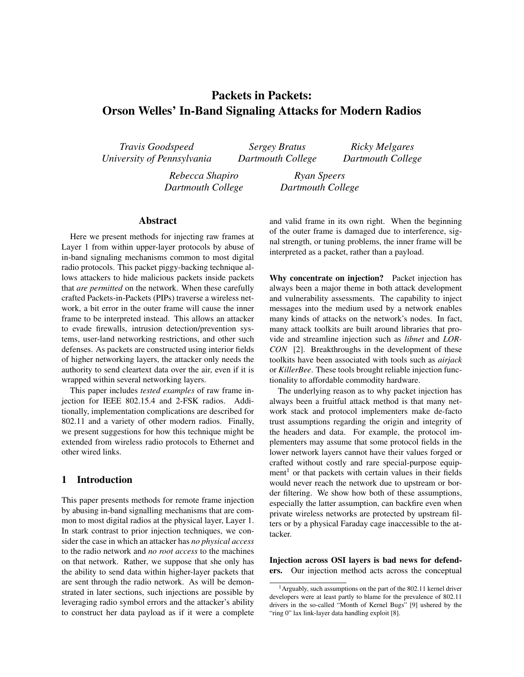# Packets in Packets: Orson Welles' In-Band Signaling Attacks for Modern Radios

*Travis Goodspeed University of Pennsylvania*

*Sergey Bratus Dartmouth College*

*Ricky Melgares Dartmouth College*

*Rebecca Shapiro Dartmouth College*

*Ryan Speers Dartmouth College*

# Abstract

Here we present methods for injecting raw frames at Layer 1 from within upper-layer protocols by abuse of in-band signaling mechanisms common to most digital radio protocols. This packet piggy-backing technique allows attackers to hide malicious packets inside packets that *are permitted* on the network. When these carefully crafted Packets-in-Packets (PIPs) traverse a wireless network, a bit error in the outer frame will cause the inner frame to be interpreted instead. This allows an attacker to evade firewalls, intrusion detection/prevention systems, user-land networking restrictions, and other such defenses. As packets are constructed using interior fields of higher networking layers, the attacker only needs the authority to send cleartext data over the air, even if it is wrapped within several networking layers.

This paper includes *tested examples* of raw frame injection for IEEE 802.15.4 and 2-FSK radios. Additionally, implementation complications are described for 802.11 and a variety of other modern radios. Finally, we present suggestions for how this technique might be extended from wireless radio protocols to Ethernet and other wired links.

# 1 Introduction

This paper presents methods for remote frame injection by abusing in-band signalling mechanisms that are common to most digital radios at the physical layer, Layer 1. In stark contrast to prior injection techniques, we consider the case in which an attacker has *no physical access* to the radio network and *no root access* to the machines on that network. Rather, we suppose that she only has the ability to send data within higher-layer packets that are sent through the radio network. As will be demonstrated in later sections, such injections are possible by leveraging radio symbol errors and the attacker's ability to construct her data payload as if it were a complete and valid frame in its own right. When the beginning of the outer frame is damaged due to interference, signal strength, or tuning problems, the inner frame will be interpreted as a packet, rather than a payload.

Why concentrate on injection? Packet injection has always been a major theme in both attack development and vulnerability assessments. The capability to inject messages into the medium used by a network enables many kinds of attacks on the network's nodes. In fact, many attack toolkits are built around libraries that provide and streamline injection such as *libnet* and *LOR-CON* [2]. Breakthroughs in the development of these toolkits have been associated with tools such as *airjack* or *KillerBee*. These tools brought reliable injection functionality to affordable commodity hardware.

The underlying reason as to why packet injection has always been a fruitful attack method is that many network stack and protocol implementers make de-facto trust assumptions regarding the origin and integrity of the headers and data. For example, the protocol implementers may assume that some protocol fields in the lower network layers cannot have their values forged or crafted without costly and rare special-purpose equipment<sup>1</sup> or that packets with certain values in their fields would never reach the network due to upstream or border filtering. We show how both of these assumptions, especially the latter assumption, can backfire even when private wireless networks are protected by upstream filters or by a physical Faraday cage inaccessible to the attacker.

Injection across OSI layers is bad news for defenders. Our injection method acts across the conceptual

<sup>1</sup>Arguably, such assumptions on the part of the 802.11 kernel driver developers were at least partly to blame for the prevalence of 802.11 drivers in the so-called "Month of Kernel Bugs" [9] ushered by the "ring 0" lax link-layer data handling exploit [8].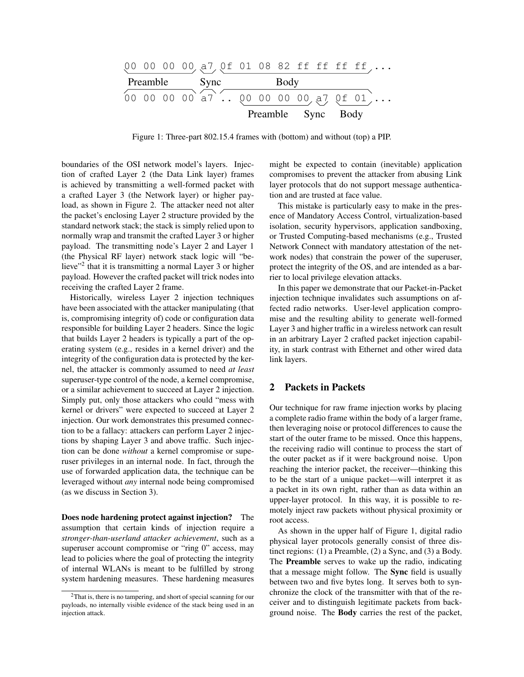|  |  |               |  |      |                    |  |  |  |  | $[00 00 00 00 a7 0f 01 08 82 ff ff ff ff,]$             |
|--|--|---------------|--|------|--------------------|--|--|--|--|---------------------------------------------------------|
|  |  | Preamble Sync |  | Body |                    |  |  |  |  |                                                         |
|  |  |               |  |      |                    |  |  |  |  | $(00\ 00\ 00\ 00\ a7)$ . $(00\ 00\ 00\ 00\ a7\ 0f\ 01)$ |
|  |  |               |  |      | Preamble Sync Body |  |  |  |  |                                                         |

Figure 1: Three-part 802.15.4 frames with (bottom) and without (top) a PIP.

boundaries of the OSI network model's layers. Injection of crafted Layer 2 (the Data Link layer) frames is achieved by transmitting a well-formed packet with a crafted Layer 3 (the Network layer) or higher payload, as shown in Figure 2. The attacker need not alter the packet's enclosing Layer 2 structure provided by the standard network stack; the stack is simply relied upon to normally wrap and transmit the crafted Layer 3 or higher payload. The transmitting node's Layer 2 and Layer 1 (the Physical RF layer) network stack logic will "believe"<sup>2</sup> that it is transmitting a normal Layer 3 or higher payload. However the crafted packet will trick nodes into receiving the crafted Layer 2 frame.

Historically, wireless Layer 2 injection techniques have been associated with the attacker manipulating (that is, compromising integrity of) code or configuration data responsible for building Layer 2 headers. Since the logic that builds Layer 2 headers is typically a part of the operating system (e.g., resides in a kernel driver) and the integrity of the configuration data is protected by the kernel, the attacker is commonly assumed to need *at least* superuser-type control of the node, a kernel compromise, or a similar achievement to succeed at Layer 2 injection. Simply put, only those attackers who could "mess with kernel or drivers" were expected to succeed at Layer 2 injection. Our work demonstrates this presumed connection to be a fallacy: attackers can perform Layer 2 injections by shaping Layer 3 and above traffic. Such injection can be done *without* a kernel compromise or superuser privileges in an internal node. In fact, through the use of forwarded application data, the technique can be leveraged without *any* internal node being compromised (as we discuss in Section 3).

Does node hardening protect against injection? The assumption that certain kinds of injection require a *stronger-than-userland attacker achievement*, such as a superuser account compromise or "ring 0" access, may lead to policies where the goal of protecting the integrity of internal WLANs is meant to be fulfilled by strong system hardening measures. These hardening measures might be expected to contain (inevitable) application compromises to prevent the attacker from abusing Link layer protocols that do not support message authentication and are trusted at face value.

This mistake is particularly easy to make in the presence of Mandatory Access Control, virtualization-based isolation, security hypervisors, application sandboxing, or Trusted Computing-based mechanisms (e.g., Trusted Network Connect with mandatory attestation of the network nodes) that constrain the power of the superuser, protect the integrity of the OS, and are intended as a barrier to local privilege elevation attacks.

In this paper we demonstrate that our Packet-in-Packet injection technique invalidates such assumptions on affected radio networks. User-level application compromise and the resulting ability to generate well-formed Layer 3 and higher traffic in a wireless network can result in an arbitrary Layer 2 crafted packet injection capability, in stark contrast with Ethernet and other wired data link layers.

## 2 Packets in Packets

Our technique for raw frame injection works by placing a complete radio frame within the body of a larger frame, then leveraging noise or protocol differences to cause the start of the outer frame to be missed. Once this happens, the receiving radio will continue to process the start of the outer packet as if it were background noise. Upon reaching the interior packet, the receiver—thinking this to be the start of a unique packet—will interpret it as a packet in its own right, rather than as data within an upper-layer protocol. In this way, it is possible to remotely inject raw packets without physical proximity or root access.

As shown in the upper half of Figure 1, digital radio physical layer protocols generally consist of three distinct regions: (1) a Preamble, (2) a Sync, and (3) a Body. The Preamble serves to wake up the radio, indicating that a message might follow. The Sync field is usually between two and five bytes long. It serves both to synchronize the clock of the transmitter with that of the receiver and to distinguish legitimate packets from background noise. The Body carries the rest of the packet,

<sup>2</sup>That is, there is no tampering, and short of special scanning for our payloads, no internally visible evidence of the stack being used in an injection attack.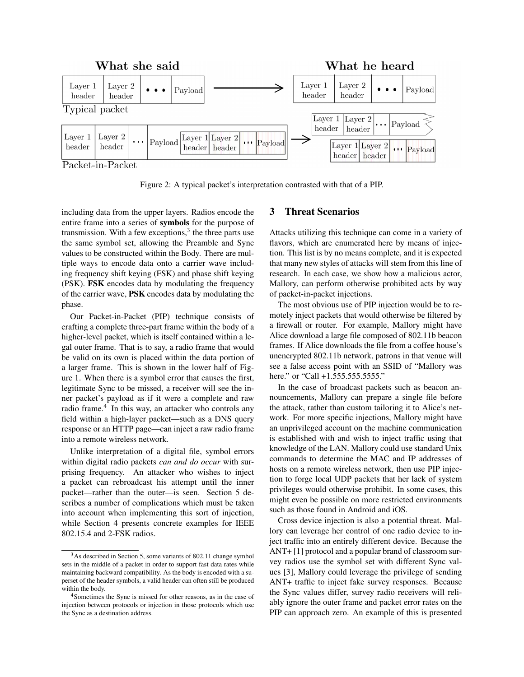

Packet-in-Packet

Figure 2: A typical packet's interpretation contrasted with that of a PIP.

including data from the upper layers. Radios encode the entire frame into a series of symbols for the purpose of transmission. With a few exceptions,<sup>3</sup> the three parts use the same symbol set, allowing the Preamble and Sync values to be constructed within the Body. There are multiple ways to encode data onto a carrier wave including frequency shift keying (FSK) and phase shift keying (PSK). FSK encodes data by modulating the frequency of the carrier wave, PSK encodes data by modulating the phase.

Our Packet-in-Packet (PIP) technique consists of crafting a complete three-part frame within the body of a higher-level packet, which is itself contained within a legal outer frame. That is to say, a radio frame that would be valid on its own is placed within the data portion of a larger frame. This is shown in the lower half of Figure 1. When there is a symbol error that causes the first, legitimate Sync to be missed, a receiver will see the inner packet's payload as if it were a complete and raw radio frame.<sup>4</sup> In this way, an attacker who controls any field within a high-layer packet—such as a DNS query response or an HTTP page—can inject a raw radio frame into a remote wireless network.

Unlike interpretation of a digital file, symbol errors within digital radio packets *can and do occur* with surprising frequency. An attacker who wishes to inject a packet can rebroadcast his attempt until the inner packet—rather than the outer—is seen. Section 5 describes a number of complications which must be taken into account when implementing this sort of injection, while Section 4 presents concrete examples for IEEE 802.15.4 and 2-FSK radios.

# 3 Threat Scenarios

Attacks utilizing this technique can come in a variety of flavors, which are enumerated here by means of injection. This list is by no means complete, and it is expected that many new styles of attacks will stem from this line of research. In each case, we show how a malicious actor, Mallory, can perform otherwise prohibited acts by way of packet-in-packet injections.

The most obvious use of PIP injection would be to remotely inject packets that would otherwise be filtered by a firewall or router. For example, Mallory might have Alice download a large file composed of 802.11b beacon frames. If Alice downloads the file from a coffee house's unencrypted 802.11b network, patrons in that venue will see a false access point with an SSID of "Mallory was here." or "Call +1.555.555.5555."

In the case of broadcast packets such as beacon announcements, Mallory can prepare a single file before the attack, rather than custom tailoring it to Alice's network. For more specific injections, Mallory might have an unprivileged account on the machine communication is established with and wish to inject traffic using that knowledge of the LAN. Mallory could use standard Unix commands to determine the MAC and IP addresses of hosts on a remote wireless network, then use PIP injection to forge local UDP packets that her lack of system privileges would otherwise prohibit. In some cases, this might even be possible on more restricted environments such as those found in Android and iOS.

Cross device injection is also a potential threat. Mallory can leverage her control of one radio device to inject traffic into an entirely different device. Because the ANT+ [1] protocol and a popular brand of classroom survey radios use the symbol set with different Sync values [3], Mallory could leverage the privilege of sending ANT+ traffic to inject fake survey responses. Because the Sync values differ, survey radio receivers will reliably ignore the outer frame and packet error rates on the PIP can approach zero. An example of this is presented

<sup>3</sup>As described in Section 5, some variants of 802.11 change symbol sets in the middle of a packet in order to support fast data rates while maintaining backward compatibility. As the body is encoded with a superset of the header symbols, a valid header can often still be produced within the body.

<sup>4</sup>Sometimes the Sync is missed for other reasons, as in the case of injection between protocols or injection in those protocols which use the Sync as a destination address.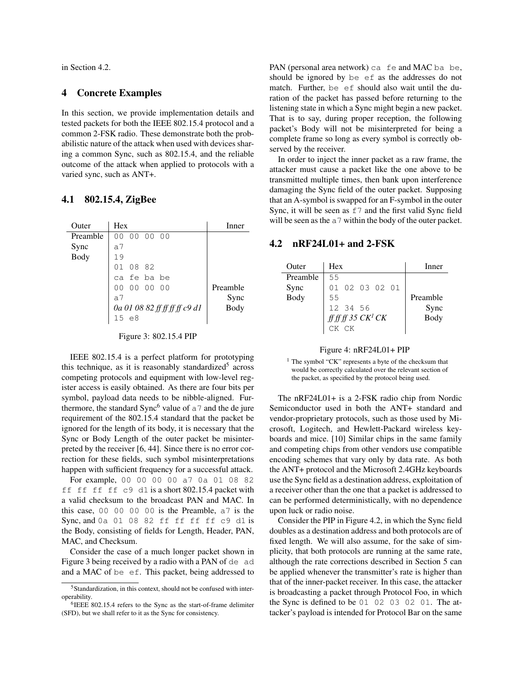in Section 4.2.

## 4 Concrete Examples

In this section, we provide implementation details and tested packets for both the IEEE 802.15.4 protocol and a common 2-FSK radio. These demonstrate both the probabilistic nature of the attack when used with devices sharing a common Sync, such as 802.15.4, and the reliable outcome of the attack when applied to protocols with a varied sync, such as ANT+.

#### 4.1 802.15.4, ZigBee

| Outer    | Hex                           | Inner    |
|----------|-------------------------------|----------|
| Preamble | 00 00<br>00<br>00             |          |
| Sync     | a7                            |          |
| Body     | 19                            |          |
|          | 08<br>01<br>- 82              |          |
|          | ca fe ba be                   |          |
|          | 00 00 00<br>0 <sub>0</sub>    | Preamble |
|          | a 7                           | Sync     |
|          | 0a 01 08 82 ff ff ff ff c9 d1 | Body     |
|          | 15e8                          |          |
|          |                               |          |

#### Figure 3: 802.15.4 PIP

IEEE 802.15.4 is a perfect platform for prototyping this technique, as it is reasonably standardized<sup>5</sup> across competing protocols and equipment with low-level register access is easily obtained. As there are four bits per symbol, payload data needs to be nibble-aligned. Furthermore, the standard Sync<sup>6</sup> value of  $a$ 7 and the de jure requirement of the 802.15.4 standard that the packet be ignored for the length of its body, it is necessary that the Sync or Body Length of the outer packet be misinterpreted by the receiver [6, 44]. Since there is no error correction for these fields, such symbol misinterpretations happen with sufficient frequency for a successful attack.

For example, 00 00 00 00 a7 0a 01 08 82 ff ff ff ff c9 d1 is a short 802.15.4 packet with a valid checksum to the broadcast PAN and MAC. In this case, 00 00 00 00 is the Preamble, a7 is the Sync, and 0a 01 08 82 ff ff ff ff c9 d1 is the Body, consisting of fields for Length, Header, PAN, MAC, and Checksum.

Consider the case of a much longer packet shown in Figure 3 being received by a radio with a PAN of de ad and a MAC of be ef. This packet, being addressed to PAN (personal area network) ca fe and MAC ba be, should be ignored by be ef as the addresses do not match. Further, be ef should also wait until the duration of the packet has passed before returning to the listening state in which a Sync might begin a new packet. That is to say, during proper reception, the following packet's Body will not be misinterpreted for being a complete frame so long as every symbol is correctly observed by the receiver.

In order to inject the inner packet as a raw frame, the attacker must cause a packet like the one above to be transmitted multiple times, then bank upon interference damaging the Sync field of the outer packet. Supposing that an A-symbol is swapped for an F-symbol in the outer Sync, it will be seen as  $f$  and the first valid Sync field will be seen as the  $a7$  within the body of the outer packet.

## 4.2 nRF24L01+ and 2-FSK

| Outer    | <b>Hex</b>                          | Inner    |
|----------|-------------------------------------|----------|
| Preamble | 55                                  |          |
| Sync     | 01 02 03 02 01                      |          |
| Body     | 55                                  | Preamble |
|          | 12 34 56                            | Sync     |
|          | $ff\!f\!f\!f$ 35 CK <sup>1</sup> CK | Body     |
|          | <b>CK</b>                           |          |

#### Figure 4: nRF24L01+ PIP

<sup>1</sup> The symbol "CK" represents a byte of the checksum that would be correctly calculated over the relevant section of the packet, as specified by the protocol being used.

The nRF24L01+ is a 2-FSK radio chip from Nordic Semiconductor used in both the ANT+ standard and vendor-proprietary protocols, such as those used by Microsoft, Logitech, and Hewlett-Packard wireless keyboards and mice. [10] Similar chips in the same family and competing chips from other vendors use compatible encoding schemes that vary only by data rate. As both the ANT+ protocol and the Microsoft 2.4GHz keyboards use the Sync field as a destination address, exploitation of a receiver other than the one that a packet is addressed to can be performed deterministically, with no dependence upon luck or radio noise.

Consider the PIP in Figure 4.2, in which the Sync field doubles as a destination address and both protocols are of fixed length. We will also assume, for the sake of simplicity, that both protocols are running at the same rate, although the rate corrections described in Section 5 can be applied whenever the transmitter's rate is higher than that of the inner-packet receiver. In this case, the attacker is broadcasting a packet through Protocol Foo, in which the Sync is defined to be 01 02 03 02 01. The attacker's payload is intended for Protocol Bar on the same

<sup>5</sup>Standardization, in this context, should not be confused with interoperability.

<sup>6</sup> IEEE 802.15.4 refers to the Sync as the start-of-frame delimiter (SFD), but we shall refer to it as the Sync for consistency.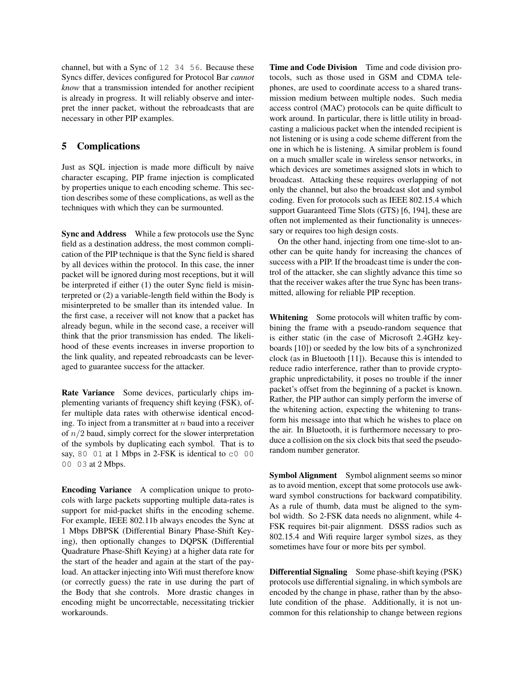channel, but with a Sync of 12 34 56. Because these Syncs differ, devices configured for Protocol Bar *cannot know* that a transmission intended for another recipient is already in progress. It will reliably observe and interpret the inner packet, without the rebroadcasts that are necessary in other PIP examples.

# 5 Complications

Just as SQL injection is made more difficult by naive character escaping, PIP frame injection is complicated by properties unique to each encoding scheme. This section describes some of these complications, as well as the techniques with which they can be surmounted.

Sync and Address While a few protocols use the Sync field as a destination address, the most common complication of the PIP technique is that the Sync field is shared by all devices within the protocol. In this case, the inner packet will be ignored during most receptions, but it will be interpreted if either (1) the outer Sync field is misinterpreted or (2) a variable-length field within the Body is misinterpreted to be smaller than its intended value. In the first case, a receiver will not know that a packet has already begun, while in the second case, a receiver will think that the prior transmission has ended. The likelihood of these events increases in inverse proportion to the link quality, and repeated rebroadcasts can be leveraged to guarantee success for the attacker.

Rate Variance Some devices, particularly chips implementing variants of frequency shift keying (FSK), offer multiple data rates with otherwise identical encoding. To inject from a transmitter at  $n$  baud into a receiver of  $n/2$  baud, simply correct for the slower interpretation of the symbols by duplicating each symbol. That is to say, 80 01 at 1 Mbps in 2-FSK is identical to  $\textdegree$  00 00 03 at 2 Mbps.

Encoding Variance A complication unique to protocols with large packets supporting multiple data-rates is support for mid-packet shifts in the encoding scheme. For example, IEEE 802.11b always encodes the Sync at 1 Mbps DBPSK (Differential Binary Phase-Shift Keying), then optionally changes to DQPSK (Differential Quadrature Phase-Shift Keying) at a higher data rate for the start of the header and again at the start of the payload. An attacker injecting into Wifi must therefore know (or correctly guess) the rate in use during the part of the Body that she controls. More drastic changes in encoding might be uncorrectable, necessitating trickier workarounds.

Time and Code Division Time and code division protocols, such as those used in GSM and CDMA telephones, are used to coordinate access to a shared transmission medium between multiple nodes. Such media access control (MAC) protocols can be quite difficult to work around. In particular, there is little utility in broadcasting a malicious packet when the intended recipient is not listening or is using a code scheme different from the one in which he is listening. A similar problem is found on a much smaller scale in wireless sensor networks, in which devices are sometimes assigned slots in which to broadcast. Attacking these requires overlapping of not only the channel, but also the broadcast slot and symbol coding. Even for protocols such as IEEE 802.15.4 which support Guaranteed Time Slots (GTS) [6, 194], these are often not implemented as their functionality is unnecessary or requires too high design costs.

On the other hand, injecting from one time-slot to another can be quite handy for increasing the chances of success with a PIP. If the broadcast time is under the control of the attacker, she can slightly advance this time so that the receiver wakes after the true Sync has been transmitted, allowing for reliable PIP reception.

Whitening Some protocols will whiten traffic by combining the frame with a pseudo-random sequence that is either static (in the case of Microsoft 2.4GHz keyboards [10]) or seeded by the low bits of a synchronized clock (as in Bluetooth [11]). Because this is intended to reduce radio interference, rather than to provide cryptographic unpredictability, it poses no trouble if the inner packet's offset from the beginning of a packet is known. Rather, the PIP author can simply perform the inverse of the whitening action, expecting the whitening to transform his message into that which he wishes to place on the air. In Bluetooth, it is furthermore necessary to produce a collision on the six clock bits that seed the pseudorandom number generator.

Symbol Alignment Symbol alignment seems so minor as to avoid mention, except that some protocols use awkward symbol constructions for backward compatibility. As a rule of thumb, data must be aligned to the symbol width. So 2-FSK data needs no alignment, while 4- FSK requires bit-pair alignment. DSSS radios such as 802.15.4 and Wifi require larger symbol sizes, as they sometimes have four or more bits per symbol.

Differential Signaling Some phase-shift keying (PSK) protocols use differential signaling, in which symbols are encoded by the change in phase, rather than by the absolute condition of the phase. Additionally, it is not uncommon for this relationship to change between regions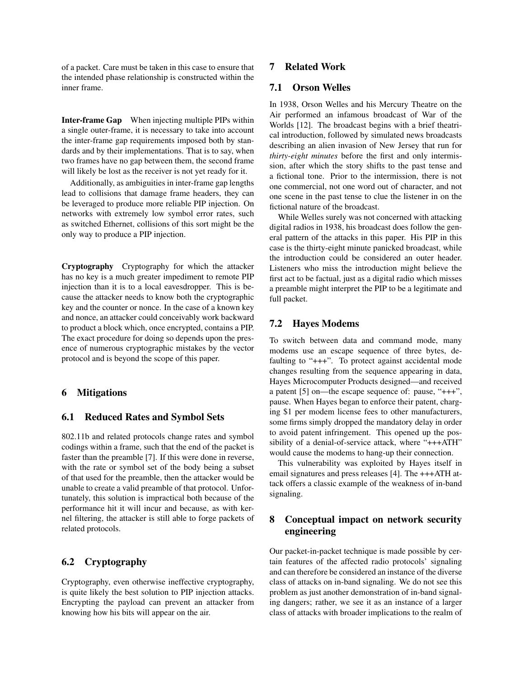of a packet. Care must be taken in this case to ensure that the intended phase relationship is constructed within the inner frame.

Inter-frame Gap When injecting multiple PIPs within a single outer-frame, it is necessary to take into account the inter-frame gap requirements imposed both by standards and by their implementations. That is to say, when two frames have no gap between them, the second frame will likely be lost as the receiver is not yet ready for it.

Additionally, as ambiguities in inter-frame gap lengths lead to collisions that damage frame headers, they can be leveraged to produce more reliable PIP injection. On networks with extremely low symbol error rates, such as switched Ethernet, collisions of this sort might be the only way to produce a PIP injection.

Cryptography Cryptography for which the attacker has no key is a much greater impediment to remote PIP injection than it is to a local eavesdropper. This is because the attacker needs to know both the cryptographic key and the counter or nonce. In the case of a known key and nonce, an attacker could conceivably work backward to product a block which, once encrypted, contains a PIP. The exact procedure for doing so depends upon the presence of numerous cryptographic mistakes by the vector protocol and is beyond the scope of this paper.

## 6 Mitigations

#### 6.1 Reduced Rates and Symbol Sets

802.11b and related protocols change rates and symbol codings within a frame, such that the end of the packet is faster than the preamble [7]. If this were done in reverse, with the rate or symbol set of the body being a subset of that used for the preamble, then the attacker would be unable to create a valid preamble of that protocol. Unfortunately, this solution is impractical both because of the performance hit it will incur and because, as with kernel filtering, the attacker is still able to forge packets of related protocols.

# 6.2 Cryptography

Cryptography, even otherwise ineffective cryptography, is quite likely the best solution to PIP injection attacks. Encrypting the payload can prevent an attacker from knowing how his bits will appear on the air.

# 7 Related Work

## 7.1 Orson Welles

In 1938, Orson Welles and his Mercury Theatre on the Air performed an infamous broadcast of War of the Worlds [12]. The broadcast begins with a brief theatrical introduction, followed by simulated news broadcasts describing an alien invasion of New Jersey that run for *thirty-eight minutes* before the first and only intermission, after which the story shifts to the past tense and a fictional tone. Prior to the intermission, there is not one commercial, not one word out of character, and not one scene in the past tense to clue the listener in on the fictional nature of the broadcast.

While Welles surely was not concerned with attacking digital radios in 1938, his broadcast does follow the general pattern of the attacks in this paper. His PIP in this case is the thirty-eight minute panicked broadcast, while the introduction could be considered an outer header. Listeners who miss the introduction might believe the first act to be factual, just as a digital radio which misses a preamble might interpret the PIP to be a legitimate and full packet.

## 7.2 Hayes Modems

To switch between data and command mode, many modems use an escape sequence of three bytes, defaulting to "+++". To protect against accidental mode changes resulting from the sequence appearing in data, Hayes Microcomputer Products designed—and received a patent [5] on—the escape sequence of: pause, "+++", pause. When Hayes began to enforce their patent, charging \$1 per modem license fees to other manufacturers, some firms simply dropped the mandatory delay in order to avoid patent infringement. This opened up the possibility of a denial-of-service attack, where "+++ATH" would cause the modems to hang-up their connection.

This vulnerability was exploited by Hayes itself in email signatures and press releases [4]. The +++ATH attack offers a classic example of the weakness of in-band signaling.

# 8 Conceptual impact on network security engineering

Our packet-in-packet technique is made possible by certain features of the affected radio protocols' signaling and can therefore be considered an instance of the diverse class of attacks on in-band signaling. We do not see this problem as just another demonstration of in-band signaling dangers; rather, we see it as an instance of a larger class of attacks with broader implications to the realm of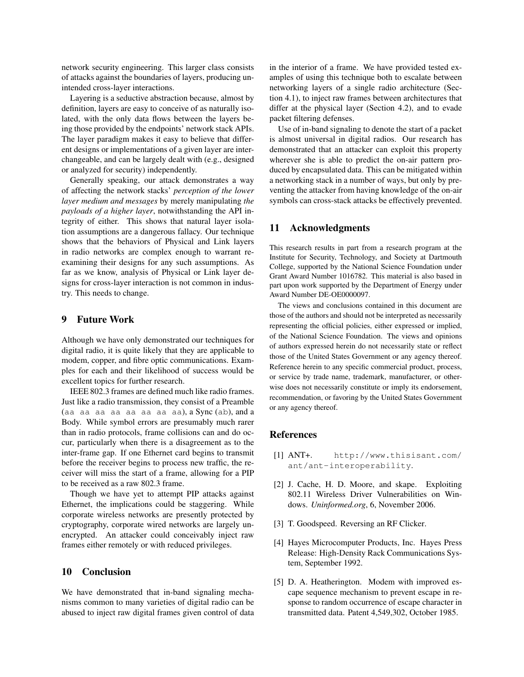network security engineering. This larger class consists of attacks against the boundaries of layers, producing unintended cross-layer interactions.

Layering is a seductive abstraction because, almost by definition, layers are easy to conceive of as naturally isolated, with the only data flows between the layers being those provided by the endpoints' network stack APIs. The layer paradigm makes it easy to believe that different designs or implementations of a given layer are interchangeable, and can be largely dealt with (e.g., designed or analyzed for security) independently.

Generally speaking, our attack demonstrates a way of affecting the network stacks' *perception of the lower layer medium and messages* by merely manipulating *the payloads of a higher layer*, notwithstanding the API integrity of either. This shows that natural layer isolation assumptions are a dangerous fallacy. Our technique shows that the behaviors of Physical and Link layers in radio networks are complex enough to warrant reexamining their designs for any such assumptions. As far as we know, analysis of Physical or Link layer designs for cross-layer interaction is not common in industry. This needs to change.

# 9 Future Work

Although we have only demonstrated our techniques for digital radio, it is quite likely that they are applicable to modem, copper, and fibre optic communications. Examples for each and their likelihood of success would be excellent topics for further research.

IEEE 802.3 frames are defined much like radio frames. Just like a radio transmission, they consist of a Preamble (aa aa aa aa aa aa aa aa), a Sync (ab), and a Body. While symbol errors are presumably much rarer than in radio protocols, frame collisions can and do occur, particularly when there is a disagreement as to the inter-frame gap. If one Ethernet card begins to transmit before the receiver begins to process new traffic, the receiver will miss the start of a frame, allowing for a PIP to be received as a raw 802.3 frame.

Though we have yet to attempt PIP attacks against Ethernet, the implications could be staggering. While corporate wireless networks are presently protected by cryptography, corporate wired networks are largely unencrypted. An attacker could conceivably inject raw frames either remotely or with reduced privileges.

# 10 Conclusion

We have demonstrated that in-band signaling mechanisms common to many varieties of digital radio can be abused to inject raw digital frames given control of data in the interior of a frame. We have provided tested examples of using this technique both to escalate between networking layers of a single radio architecture (Section 4.1), to inject raw frames between architectures that differ at the physical layer (Section 4.2), and to evade packet filtering defenses.

Use of in-band signaling to denote the start of a packet is almost universal in digital radios. Our research has demonstrated that an attacker can exploit this property wherever she is able to predict the on-air pattern produced by encapsulated data. This can be mitigated within a networking stack in a number of ways, but only by preventing the attacker from having knowledge of the on-air symbols can cross-stack attacks be effectively prevented.

## 11 Acknowledgments

This research results in part from a research program at the Institute for Security, Technology, and Society at Dartmouth College, supported by the National Science Foundation under Grant Award Number 1016782. This material is also based in part upon work supported by the Department of Energy under Award Number DE-OE0000097.

The views and conclusions contained in this document are those of the authors and should not be interpreted as necessarily representing the official policies, either expressed or implied, of the National Science Foundation. The views and opinions of authors expressed herein do not necessarily state or reflect those of the United States Government or any agency thereof. Reference herein to any specific commercial product, process, or service by trade name, trademark, manufacturer, or otherwise does not necessarily constitute or imply its endorsement, recommendation, or favoring by the United States Government or any agency thereof.

# References

- [1] ANT+. http://www.thisisant.com/ ant/ant-interoperability.
- [2] J. Cache, H. D. Moore, and skape. Exploiting 802.11 Wireless Driver Vulnerabilities on Windows. *Uninformed.org*, 6, November 2006.
- [3] T. Goodspeed. Reversing an RF Clicker.
- [4] Hayes Microcomputer Products, Inc. Hayes Press Release: High-Density Rack Communications System, September 1992.
- [5] D. A. Heatherington. Modem with improved escape sequence mechanism to prevent escape in response to random occurrence of escape character in transmitted data. Patent 4,549,302, October 1985.